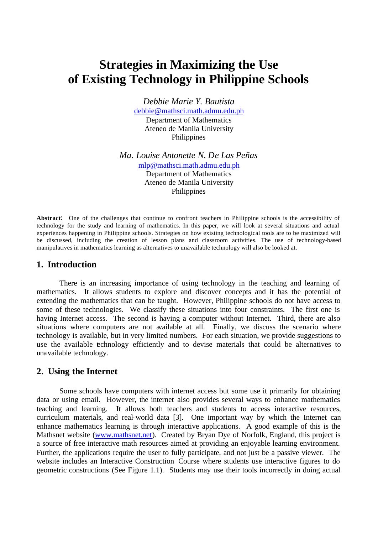# **Strategies in Maximizing the Use of Existing Technology in Philippine Schools**

*Debbie Marie Y. Bautista*  debbie@mathsci.math.admu.edu.ph Department of Mathematics Ateneo de Manila University Philippines

*Ma. Louise Antonette N. De Las Peñas*  mlp@mathsci.math.admu.edu.ph Department of Mathematics Ateneo de Manila University Philippines

**Abstract**: One of the challenges that continue to confront teachers in Philippine schools is the accessibility of technology for the study and learning of mathematics. In this paper, we will look at several situations and actual experiences happening in Philippine schools. Strategies on how existing technological tools are to be maximized will be discussed, including the creation of lesson plans and classroom activities. The use of technology-based manipulatives in mathematics learning as alternatives to unavailable technology will also be looked at.

### **1. Introduction**

There is an increasing importance of using technology in the teaching and learning of mathematics. It allows students to explore and discover concepts and it has the potential of extending the mathematics that can be taught. However, Philippine schools do not have access to some of these technologies. We classify these situations into four constraints. The first one is having Internet access. The second is having a computer without Internet. Third, there are also situations where computers are not available at all. Finally, we discuss the scenario where technology is available, but in very limited numbers. For each situation, we provide suggestions to use the available technology efficiently and to devise materials that could be alternatives to unavailable technology.

#### **2. Using the Internet**

Some schools have computers with internet access but some use it primarily for obtaining data or using email. However, the internet also provides several ways to enhance mathematics teaching and learning. It allows both teachers and students to access interactive resources, curriculum materials, and real-world data [3]. One important way by which the Internet can enhance mathematics learning is through interactive applications. A good example of this is the Mathsnet website (www.mathsnet.net). Created by Bryan Dye of Norfolk, England, this project is a source of free interactive math resources aimed at providing an enjoyable learning environment. Further, the applications require the user to fully participate, and not just be a passive viewer. The website includes an Interactive Construction Course where students use interactive figures to do geometric constructions (See Figure 1.1). Students may use their tools incorrectly in doing actual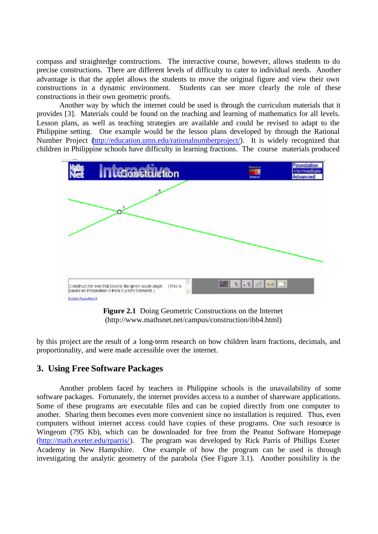compass and straightedge constructions. The interactive course, however, allows students to do precise constructions. There are different levels of difficulty to cater to individual needs. Another advantage is that the applet allows the students to move the original figure and view their own constructions in a dynamic environment. Students can see more clearly the role of these constructions in their own geometric proofs.

Another way by which the internet could be used is through the curriculum materials that it provides [3]. Materials could be found on the teaching and learning of mathematics for all levels. Lesson plans, as well as teaching strategies are available and could be revised to adapt to the Philippine setting. One example would be the lesson plans developed by through the Rational Number Project (http://education.umn.edu/rationalnumberproject/). It is widely recognized that children in Philippine schools have difficulty in learning fractions. The course materials produced



**Figure 2.1** Doing Geometric Constructions on the Internet (http://www.mathsnet.net/campus/construction/ibb4.html)

by this project are the result of a long-term research on how children learn fractions, decimals, and proportionality, and were made accessible over the internet.

## **3. Using Free Software Packages**

Another problem faced by teachers in Philippine schools is the unavailability of some software packages. Fortunately, the internet provides access to a number of shareware applications. Some of these programs are executable files and can be copied directly from one computer to another. Sharing them becomes even more convenient since no installation is required. Thus, even computers without internet access could have copies of these programs. One such resource is Wingeom (795 Kb), which can be downloaded for free from the Peanut Software Homepage (http://math.exeter.edu/rparris/). The program was developed by Rick Parris of Phillips Exeter Academy in New Hampshire. One example of how the program can be used is through investigating the analytic geometry of the parabola (See Figure 3.1). Another possibility is the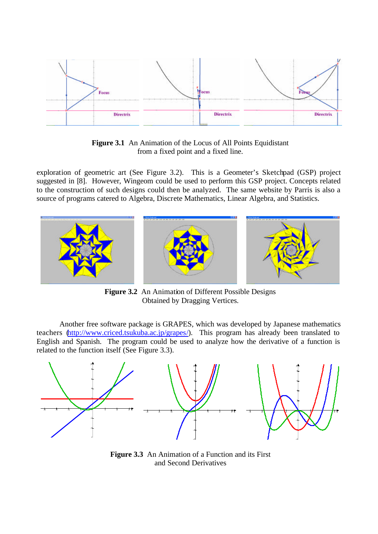

**Figure 3.1** An Animation of the Locus of All Points Equidistant from a fixed point and a fixed line.

exploration of geometric art (See Figure 3.2). This is a Geometer's Sketchpad (GSP) project suggested in [8]. However, Wingeom could be used to perform this GSP project. Concepts related to the construction of such designs could then be analyzed. The same website by Parris is also a source of programs catered to Algebra, Discrete Mathematics, Linear Algebra, and Statistics.



**Figure 3.2** An Animation of Different Possible Designs Obtained by Dragging Vertices.

Another free software package is GRAPES, which was developed by Japanese mathematics teachers (http://www.criced.tsukuba.ac.jp/grapes/). This program has already been translated to English and Spanish. The program could be used to analyze how the derivative of a function is related to the function itself (See Figure 3.3).



**Figure 3.3** An Animation of a Function and its First and Second Derivatives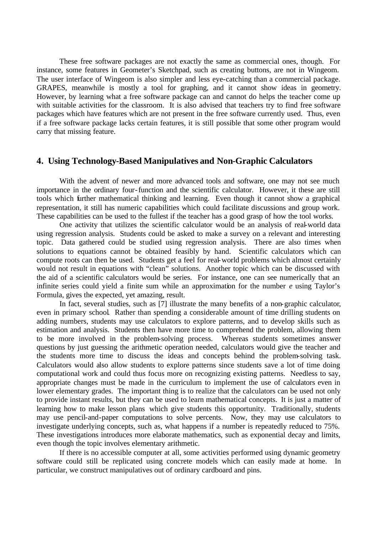These free software packages are not exactly the same as commercial ones, though. For instance, some features in Geometer's Sketchpad, such as creating buttons, are not in Wingeom. The user interface of Wingeom is also simpler and less eye-catching than a commercial package. GRAPES, meanwhile is mostly a tool for graphing, and it cannot show ideas in geometry. However, by learning what a free software package can and cannot do helps the teacher come up with suitable activities for the classroom. It is also advised that teachers try to find free software packages which have features which are not present in the free software currently used. Thus, even if a free software package lacks certain features, it is still possible that some other program would carry that missing feature.

#### **4. Using Technology-Based Manipulatives and Non-Graphic Calculators**

With the advent of newer and more advanced tools and software, one may not see much importance in the ordinary four-function and the scientific calculator. However, it these are still tools which further mathematical thinking and learning. Even though it cannot show a graphical representation, it still has numeric capabilities which could facilitate discussions and group work. These capabilities can be used to the fullest if the teacher has a good grasp of how the tool works.

One activity that utilizes the scientific calculator would be an analysis of real-world data using regression analysis. Students could be asked to make a survey on a relevant and interesting topic. Data gathered could be studied using regression analysis. There are also times when solutions to equations cannot be obtained feasibly by hand. Scientific calculators which can compute roots can then be used. Students get a feel for real-world problems which almost certainly would not result in equations with "clean" solutions. Another topic which can be discussed with the aid of a scientific calculators would be series. For instance, one can see numerically that an infinite series could yield a finite sum while an approximation for the number *e* using Taylor's Formula, gives the expected, yet amazing, result.

In fact, several studies, such as [7] illustrate the many benefits of a non-graphic calculator, even in primary school. Rather than spending a considerable amount of time drilling students on adding numbers, students may use calculators to explore patterns, and to develop skills such as estimation and analysis. Students then have more time to comprehend the problem, allowing them to be more involved in the problem-solving process. Whereas students sometimes answer questions by just guessing the arithmetic operation needed, calculators would give the teacher and the students more time to discuss the ideas and concepts behind the problem-solving task. Calculators would also allow students to explore patterns since students save a lot of time doing computational work and could thus focus more on recognizing existing patterns. Needless to say, appropriate changes must be made in the curriculum to implement the use of calculators even in lower elementary grades. The important thing is to realize that the calculators can be used not only to provide instant results, but they can be used to learn mathematical concepts. It is just a matter of learning how to make lesson plans which give students this opportunity. Traditionally, students may use pencil-and-paper computations to solve percents. Now, they may use calculators to investigate underlying concepts, such as, what happens if a number is repeatedly reduced to 75%. These investigations introduces more elaborate mathematics, such as exponential decay and limits, even though the topic involves elementary arithmetic.

If there is no accessible computer at all, some activities performed using dynamic geometry software could still be replicated using concrete models which can easily made at home. In particular, we construct manipulatives out of ordinary cardboard and pins.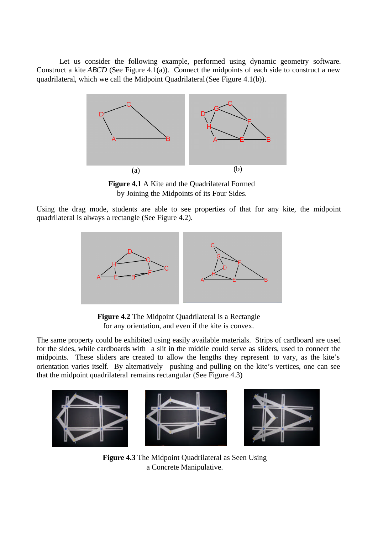Let us consider the following example, performed using dynamic geometry software. Construct a kite *ABCD* (See Figure 4.1(a)). Connect the midpoints of each side to construct a new quadrilateral, which we call the Midpoint Quadrilateral (See Figure 4.1(b)).



**Figure 4.1** A Kite and the Quadrilateral Formed by Joining the Midpoints of its Four Sides.

Using the drag mode, students are able to see properties of that for any kite, the midpoint quadrilateral is always a rectangle (See Figure 4.2).



**Figure 4.2** The Midpoint Quadrilateral is a Rectangle for any orientation, and even if the kite is convex.

The same property could be exhibited using easily available materials. Strips of cardboard are used for the sides, while cardboards with a slit in the middle could serve as sliders, used to connect the midpoints. These sliders are created to allow the lengths they represent to vary, as the kite's orientation varies itself. By alternatively pushing and pulling on the kite's vertices, one can see that the midpoint quadrilateral remains rectangular (See Figure 4.3)



**Figure 4.3** The Midpoint Quadrilateral as Seen Using a Concrete Manipulative.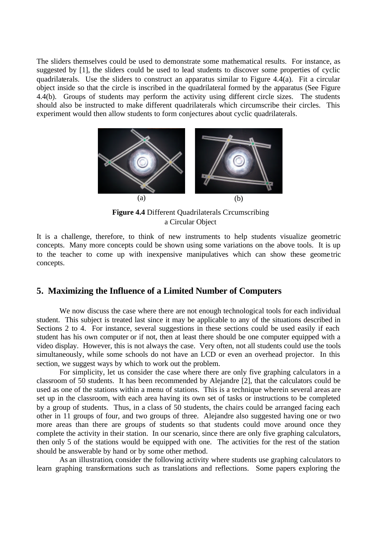The sliders themselves could be used to demonstrate some mathematical results. For instance, as suggested by [1], the sliders could be used to lead students to discover some properties of cyclic quadrilaterals. Use the sliders to construct an apparatus similar to Figure 4.4(a). Fit a circular object inside so that the circle is inscribed in the quadrilateral formed by the apparatus (See Figure 4.4(b). Groups of students may perform the activity using different circle sizes. The students should also be instructed to make different quadrilaterals which circumscribe their circles. This experiment would then allow students to form conjectures about cyclic quadrilaterals.



**Figure 4.4** Different Quadrilaterals Creumscribing a Circular Object

It is a challenge, therefore, to think of new instruments to help students visualize geometric concepts. Many more concepts could be shown using some variations on the above tools. It is up to the teacher to come up with inexpensive manipulatives which can show these geome tric concepts.

#### **5. Maximizing the Influence of a Limited Number of Computers**

We now discuss the case where there are not enough technological tools for each individual student. This subject is treated last since it may be applicable to any of the situations described in Sections 2 to 4. For instance, several suggestions in these sections could be used easily if each student has his own computer or if not, then at least there should be one computer equipped with a video display. However, this is not always the case. Very often, not all students could use the tools simultaneously, while some schools do not have an LCD or even an overhead projector. In this section, we suggest ways by which to work out the problem.

For simplicity, let us consider the case where there are only five graphing calculators in a classroom of 50 students. It has been recommended by Alejandre [2], that the calculators could be used as one of the stations within a menu of stations. This is a technique wherein several areas are set up in the classroom, with each area having its own set of tasks or instructions to be completed by a group of students. Thus, in a class of 50 students, the chairs could be arranged facing each other in 11 groups of four, and two groups of three. Alejandre also suggested having one or two more areas than there are groups of students so that students could move around once they complete the activity in their station. In our scenario, since there are only five graphing calculators, then only 5 of the stations would be equipped with one. The activities for the rest of the station should be answerable by hand or by some other method.

As an illustration, consider the following activity where students use graphing calculators to learn graphing transformations such as translations and reflections. Some papers exploring the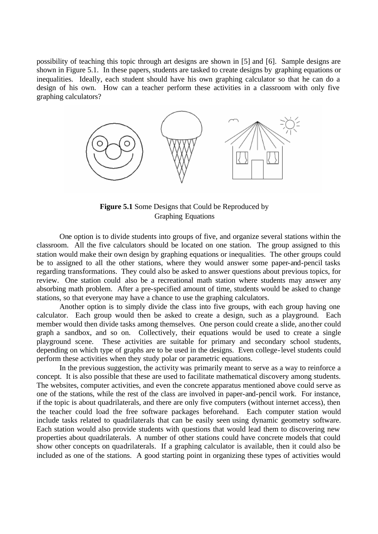possibility of teaching this topic through art designs are shown in [5] and [6]. Sample designs are shown in Figure 5.1. In these papers, students are tasked to create designs by graphing equations or inequalities. Ideally, each student should have his own graphing calculator so that he can do a design of his own. How can a teacher perform these activities in a classroom with only five graphing calculators?



Figure 5.1 Some Designs that Could be Reproduced by Graphing Equations

One option is to divide students into groups of five, and organize several stations within the classroom. All the five calculators should be located on one station. The group assigned to this station would make their own design by graphing equations or inequalities. The other groups could be to assigned to all the other stations, where they would answer some paper-and-pencil tasks regarding transformations. They could also be asked to answer questions about previous topics, for review. One station could also be a recreational math station where students may answer any absorbing math problem. After a pre-specified amount of time, students would be asked to change stations, so that everyone may have a chance to use the graphing calculators.

Another option is to simply divide the class into five groups, with each group having one calculator. Each group would then be asked to create a design, such as a playground. Each member would then divide tasks among themselves. One person could create a slide, another could graph a sandbox, and so on. Collectively, their equations would be used to create a single playground scene. These activities are suitable for primary and secondary school students, depending on which type of graphs are to be used in the designs. Even college-level students could perform these activities when they study polar or parametric equations.

In the previous suggestion, the activity was primarily meant to serve as a way to reinforce a concept. It is also possible that these are used to facilitate mathematical discovery among students. The websites, computer activities, and even the concrete apparatus mentioned above could serve as one of the stations, while the rest of the class are involved in paper-and-pencil work. For instance, if the topic is about quadrilaterals, and there are only five computers (without internet access), then the teacher could load the free software packages beforehand. Each computer station would include tasks related to quadrilaterals that can be easily seen using dynamic geometry software. Each station would also provide students with questions that would lead them to discovering new properties about quadrilaterals. A number of other stations could have concrete models that could show other concepts on quadrilaterals. If a graphing calculator is available, then it could also be included as one of the stations. A good starting point in organizing these types of activities would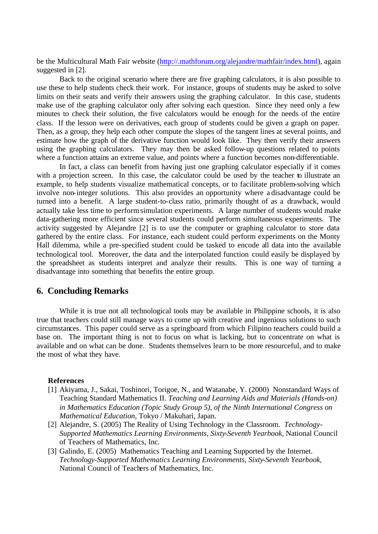be the Multicultural Math Fair website (http://.mathforum.org/alejandre/mathfair/index.html), again suggested in [2].

Back to the original scenario where there are five graphing calculators, it is also possible to use these to help students check their work. For instance, groups of students may be asked to solve limits on their seats and verify their answers using the graphing calculator. In this case, students make use of the graphing calculator only after solving each question. Since they need only a few minutes to check their solution, the five calculators would be enough for the needs of the entire class. If the lesson were on derivatives, each group of students could be given a graph on paper. Then, as a group, they help each other compute the slopes of the tangent lines at several points, and estimate how the graph of the derivative function would look like. They then verify their answers using the graphing calculators. They may then be asked follow-up questions related to points where a function attains an extreme value, and points where a function becomes non-differentiable.

In fact, a class can benefit from having just one graphing calculator especially if it comes with a projection screen. In this case, the calculator could be used by the teacher to illustrate an example, to help students visualize mathematical concepts, or to facilitate problem-solving which involve non-integer solutions. This also provides an opportunity where a disadvantage could be turned into a benefit. A large student-to-class ratio, primarily thought of as a drawback, would actually take less time to perform simulation experiments. A large number of students would make data-gathering more efficient since several students could perform simultaneous experiments. The activity suggested by Alejandre [2] is to use the computer or graphing calculator to store data gathered by the entire class. For instance, each student could perform experiments on the Monty Hall dilemma, while a pre-specified student could be tasked to encode all data into the available technological tool. Moreover, the data and the interpolated function could easily be displayed by the spreadsheet as students interpret and analyze their results. This is one way of turning a disadvantage into something that benefits the entire group.

#### **6. Concluding Remarks**

While it is true not all technological tools may be available in Philippine schools, it is also true that teachers could still manage ways to come up with creative and ingenious solutions to such circumstances. This paper could serve as a springboard from which Filipino teachers could build a base on. The important thing is not to focus on what is lacking, but to concentrate on what is available and on what can be done. Students themselves learn to be more resourceful, and to make the most of what they have.

#### **References**

- [1] Akiyama, J., Sakai, Toshinori, Torigoe, N., and Watanabe, Y. (2000) Nonstandard Ways of Teaching Standard Mathematics II. *Teaching and Learning Aids and Materials (Hands-on) in Mathematics Education (Topic Study Group 5)*, *of the Ninth International Congress on Mathematical Education*, Tokyo / Makuhari, Japan.
- [2] Alejandre, S. (2005) The Reality of Using Technology in the Classroom. *Technology-Supported Mathematics Learning Environments, Sixty-Seventh Yearbook,* National Council of Teachers of Mathematics, Inc.
- [3] Galindo, E. (2005) Mathematics Teaching and Learning Supported by the Internet. *Technology-Supported Mathematics Learning Environments, Sixty-Seventh Yearbook,*  National Council of Teachers of Mathematics, Inc.